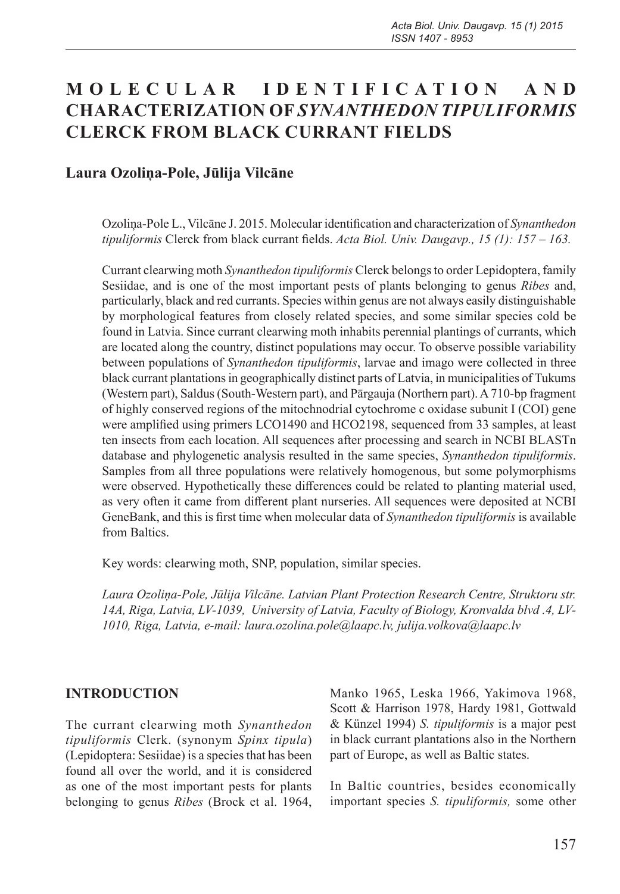# **M O L E C U L A R I D E N T I F I C A T I O N A N D CHARACTERIZATION OF** *SYNANTHEDON TIPULIFORMIS* **CLERCK FROM BLACK CURRANT FIELDS**

### **Laura Ozoliņa-Pole, Jūlija Vilcāne**

Ozoliņa-Pole L., Vilcāne J. 2015. Molecular identification and characterization of *Synanthedon tipuliformis* Clerck from black currant fields. *Acta Biol. Univ. Daugavp., 15 (1): 157 – 163.*

Currant clearwing moth *Synanthedon tipuliformis* Clerck belongs to order Lepidoptera, family Sesiidae, and is one of the most important pests of plants belonging to genus *Ribes* and, particularly, black and red currants. Species within genus are not always easily distinguishable by morphological features from closely related species, and some similar species cold be found in Latvia. Since currant clearwing moth inhabits perennial plantings of currants, which are located along the country, distinct populations may occur. To observe possible variability between populations of *Synanthedon tipuliformis*, larvae and imago were collected in three black currant plantations in geographically distinct parts of Latvia, in municipalities of Tukums (Western part), Saldus (South-Western part), and Pārgauja (Northern part). A 710-bp fragment of highly conserved regions of the mitochnodrial cytochrome c oxidase subunit I (COI) gene were amplified using primers LCO1490 and HCO2198, sequenced from 33 samples, at least ten insects from each location. All sequences after processing and search in NCBI BLASTn database and phylogenetic analysis resulted in the same species, *Synanthedon tipuliformis*. Samples from all three populations were relatively homogenous, but some polymorphisms were observed. Hypothetically these differences could be related to planting material used, as very often it came from different plant nurseries. All sequences were deposited at NCBI GeneBank, and this is first time when molecular data of *Synanthedon tipuliformis* is available from Baltics.

Key words: clearwing moth, SNP, population, similar species.

*Laura Ozoliņa-Pole, Jūlija Vilcāne. Latvian Plant Protection Research Centre, Struktoru str. 14A, Riga, Latvia, LV-1039, University of Latvia, Faculty of Biology, Kronvalda blvd .4, LV-1010, Riga, Latvia, e-mail: laura.ozolina.pole@laapc.lv, julija.volkova@laapc.lv*

#### **INTRODUCTION**

The currant clearwing moth *Synanthedon tipuliformis* Clerk. (synonym *Spinx tipula*) (Lepidoptera: Sesiidae) is a species that has been found all over the world, and it is considered as one of the most important pests for plants belonging to genus *Ribes* (Brock et al. 1964,

Manko 1965, Leska 1966, Yakimova 1968, Scott & Harrison 1978, Hardy 1981, Gottwald & Künzel 1994) *S. tipuliformis* is a major pest in black currant plantations also in the Northern part of Europe, as well as Baltic states.

In Baltic countries, besides economically important species *S. tipuliformis,* some other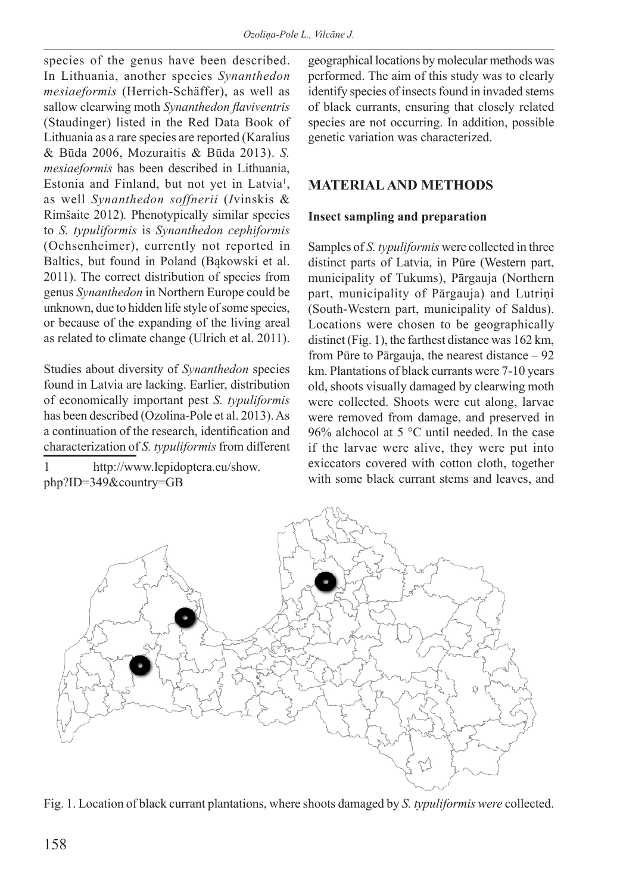species of the genus have been described. In Lithuania, another species *Synanthedon mesiaeformis* (Herrich-Schäffer), as well as sallow clearwing moth *Synanthedon flaviventris*  (Staudinger) listed in the Red Data Book of Lithuania as a rare species are reported (Karalius & Būda 2006, Mozuraitis & Būda 2013). *S. mesiaeformis* has been described in Lithuania, Estonia and Finland, but not yet in Latvia<sup>1</sup>, as well *Synanthedon soffnerii* (*I*vinskis & Rimšaite 2012)*.* Phenotypically similar species to *S. typuliformis* is *Synanthedon cephiformis*  (Ochsenheimer), currently not reported in Baltics, but found in Poland (Bąkowski et al. 2011). The correct distribution of species from genus *Synanthedon* in Northern Europe could be unknown, due to hidden life style of some species, or because of the expanding of the living areal as related to climate change (Ulrich et al. 2011).

Studies about diversity of *Synanthedon* species found in Latvia are lacking. Earlier, distribution of economically important pest *S. typuliformis* has been described (Ozolina-Pole et al. 2013). As a continuation of the research, identification and characterization of *S. typuliformis* from different

1 http://www.lepidoptera.eu/show. php?ID=349&country=GB

geographical locations by molecular methods was performed. The aim of this study was to clearly identify species of insects found in invaded stems of black currants, ensuring that closely related species are not occurring. In addition, possible genetic variation was characterized.

### **MATERIAL AND METHODS**

#### **Insect sampling and preparation**

Samples of *S. typuliformis* were collected in three distinct parts of Latvia, in Pūre (Western part, municipality of Tukums), Pārgauja (Northern part, municipality of Pārgauja) and Lutriņi (South-Western part, municipality of Saldus). Locations were chosen to be geographically distinct (Fig. 1), the farthest distance was 162 km, from Pūre to Pārgauja, the nearest distance – 92 km. Plantations of black currants were 7-10 years old, shoots visually damaged by clearwing moth were collected. Shoots were cut along, larvae were removed from damage, and preserved in 96% alchocol at 5  $\degree$ C until needed. In the case if the larvae were alive, they were put into exiccators covered with cotton cloth, together with some black currant stems and leaves, and



Fig. 1. Location of black currant plantations, where shoots damaged by *S. typuliformis were* collected.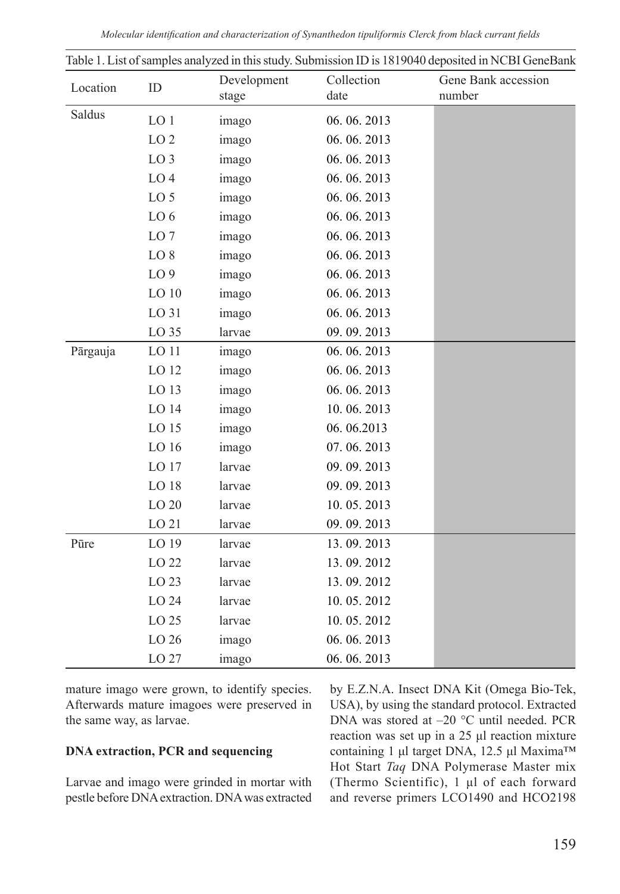| Location | ID               | Development<br>stage | Collection<br>date | Gene Bank accession<br>number |
|----------|------------------|----------------------|--------------------|-------------------------------|
| Saldus   | LO <sub>1</sub>  | imago                | 06.06.2013         |                               |
|          | LO <sub>2</sub>  | imago                | 06.06.2013         |                               |
|          | LO <sub>3</sub>  | imago                | 06.06.2013         |                               |
|          | LO <sub>4</sub>  | imago                | 06.06.2013         |                               |
|          | LO <sub>5</sub>  | imago                | 06.06.2013         |                               |
|          | LO 6             | imago                | 06.06.2013         |                               |
|          | LO <sub>7</sub>  | imago                | 06.06.2013         |                               |
|          | LO <sub>8</sub>  | imago                | 06.06.2013         |                               |
|          | LO <sub>9</sub>  | imago                | 06.06.2013         |                               |
|          | LO <sub>10</sub> | imago                | 06.06.2013         |                               |
|          | LO 31            | imago                | 06.06.2013         |                               |
|          | LO 35            | larvae               | 09.09.2013         |                               |
| Pārgauja | LO 11            | imago                | 06.06.2013         |                               |
|          | LO 12            | imago                | 06.06.2013         |                               |
|          | LO 13            | imago                | 06.06.2013         |                               |
|          | LO 14            | imago                | 10.06.2013         |                               |
|          | LO <sub>15</sub> | imago                | 06.06.2013         |                               |
|          | LO 16            | imago                | 07.06.2013         |                               |
|          | LO 17            | larvae               | 09.09.2013         |                               |
|          | LO 18            | larvae               | 09.09.2013         |                               |
|          | LO 20            | larvae               | 10.05.2013         |                               |
|          | LO 21            | larvae               | 09.09.2013         |                               |
| Pūre     | LO 19            | larvae               | 13.09.2013         |                               |
|          | LO 22            | larvae               | 13.09.2012         |                               |
|          | LO 23            | larvae               | 13.09.2012         |                               |
|          | LO 24            | larvae               | 10.05.2012         |                               |
|          | LO 25            | larvae               | 10.05.2012         |                               |
|          | LO 26            | imago                | 06.06.2013         |                               |
|          | LO 27            | imago                | 06.06.2013         |                               |

| Table 1. List of samples analyzed in this study. Submission ID is 1819040 deposited in NCBI GeneBank |  |  |  |  |  |  |
|------------------------------------------------------------------------------------------------------|--|--|--|--|--|--|
|                                                                                                      |  |  |  |  |  |  |

mature imago were grown, to identify species. Afterwards mature imagoes were preserved in the same way, as larvae.

#### **DNA extraction, PCR and sequencing**

Larvae and imago were grinded in mortar with pestle before DNA extraction. DNA was extracted by E.Z.N.A. Insect DNA Kit (Omega Bio-Tek, USA), by using the standard protocol. Extracted DNA was stored at –20 °C until needed. PCR reaction was set up in a 25 μl reaction mixture containing 1 μl target DNA, 12.5 μl Maxima™ Hot Start *Taq* DNA Polymerase Master mix (Thermo Scientific), 1 μl of each forward and reverse primers LCO1490 and HCO2198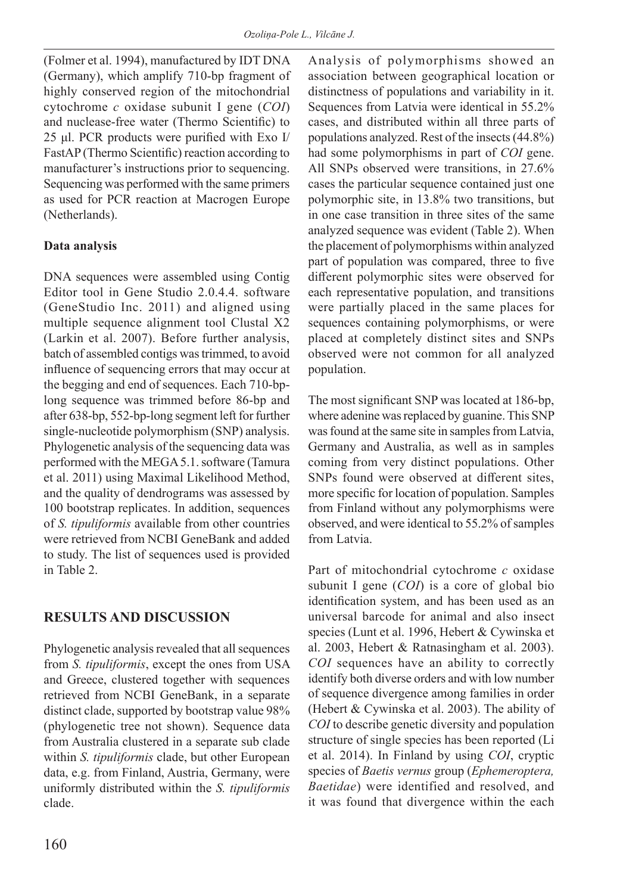(Folmer et al. 1994), manufactured by IDT DNA (Germany), which amplify 710-bp fragment of highly conserved region of the mitochondrial cytochrome *c* oxidase subunit I gene (*COI*) and nuclease-free water (Thermo Scientific) to 25 μl. PCR products were purified with Exo I/ FastAP (Thermo Scientific) reaction according to manufacturer's instructions prior to sequencing. Sequencing was performed with the same primers as used for PCR reaction at Macrogen Europe (Netherlands).

### **Data analysis**

DNA sequences were assembled using Contig Editor tool in Gene Studio 2.0.4.4. software (GeneStudio Inc. 2011) and aligned using multiple sequence alignment tool Clustal X2 (Larkin et al. 2007). Before further analysis, batch of assembled contigs was trimmed, to avoid influence of sequencing errors that may occur at the begging and end of sequences. Each 710-bplong sequence was trimmed before 86-bp and after 638-bp, 552-bp-long segment left for further single-nucleotide polymorphism (SNP) analysis. Phylogenetic analysis of the sequencing data was performed with the MEGA 5.1. software (Tamura et al. 2011) using Maximal Likelihood Method, and the quality of dendrograms was assessed by 100 bootstrap replicates. In addition, sequences of *S. tipuliformis* available from other countries were retrieved from NCBI GeneBank and added to study. The list of sequences used is provided in Table 2.

# **RESULTS AND DISCUSSION**

Phylogenetic analysis revealed that all sequences from *S. tipuliformis*, except the ones from USA and Greece, clustered together with sequences retrieved from NCBI GeneBank, in a separate distinct clade, supported by bootstrap value 98% (phylogenetic tree not shown). Sequence data from Australia clustered in a separate sub clade within *S. tipuliformis* clade, but other European data, e.g. from Finland, Austria, Germany, were uniformly distributed within the *S. tipuliformis*  clade.

Analysis of polymorphisms showed an association between geographical location or distinctness of populations and variability in it. Sequences from Latvia were identical in 55.2% cases, and distributed within all three parts of populations analyzed. Rest of the insects (44.8%) had some polymorphisms in part of *COI* gene. All SNPs observed were transitions, in 27.6% cases the particular sequence contained just one polymorphic site, in 13.8% two transitions, but in one case transition in three sites of the same analyzed sequence was evident (Table 2). When the placement of polymorphisms within analyzed part of population was compared, three to five different polymorphic sites were observed for each representative population, and transitions were partially placed in the same places for sequences containing polymorphisms, or were placed at completely distinct sites and SNPs observed were not common for all analyzed population.

The most significant SNP was located at 186-bp, where adenine was replaced by guanine. This SNP was found at the same site in samples from Latvia, Germany and Australia, as well as in samples coming from very distinct populations. Other SNPs found were observed at different sites, more specific for location of population. Samples from Finland without any polymorphisms were observed, and were identical to 55.2% of samples from Latvia.

Part of mitochondrial cytochrome *c* oxidase subunit I gene (*COI*) is a core of global bio identification system, and has been used as an universal barcode for animal and also insect species (Lunt et al. 1996, Hebert & Cywinska et al. 2003, Hebert & Ratnasingham et al. 2003). *COI* sequences have an ability to correctly identify both diverse orders and with low number of sequence divergence among families in order (Hebert & Cywinska et al. 2003). The ability of *COI* to describe genetic diversity and population structure of single species has been reported (Li et al. 2014). In Finland by using *COI*, cryptic species of *Baetis vernus* group (*Ephemeroptera, Baetidae*) were identified and resolved, and it was found that divergence within the each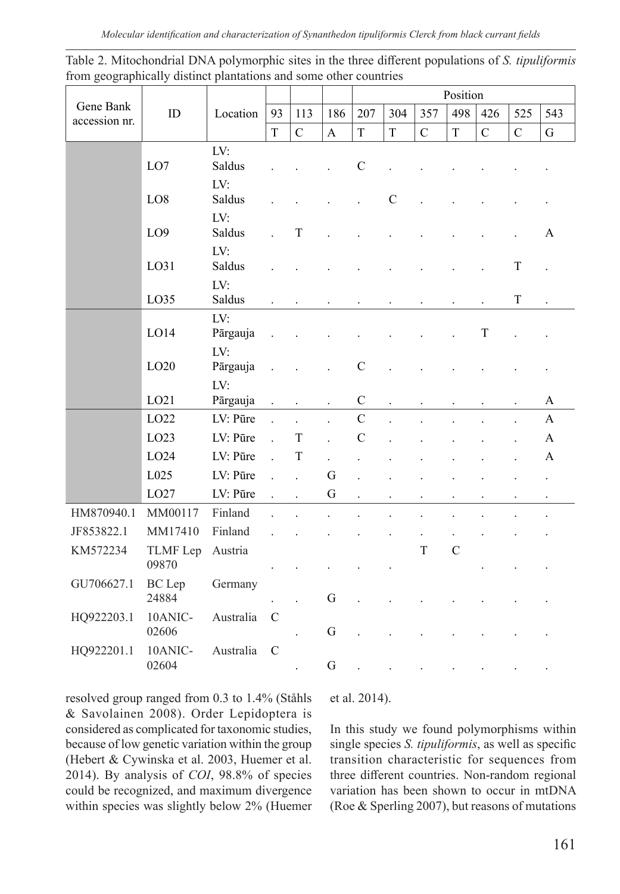*Molecular identification and characterization of Synanthedon tipuliformis Clerck from black currant fields*

|                            | ID                     |                        |                      |                      |                      |                      | Position             |                      |                |                      |                      |                      |  |
|----------------------------|------------------------|------------------------|----------------------|----------------------|----------------------|----------------------|----------------------|----------------------|----------------|----------------------|----------------------|----------------------|--|
| Gene Bank<br>accession nr. |                        | Location               | 93                   | 113                  | 186                  | 207                  | 304                  | 357                  | 498            | 426                  | 525                  | 543                  |  |
|                            |                        |                        | T                    | $\mathbf C$          | A                    | $\mathbf T$          | T                    | $\mathbf C$          | T              | $\mathbf C$          | $\mathbf C$          | ${\bf G}$            |  |
|                            | LO7                    | LV:<br>Saldus          |                      |                      |                      | $\mathbf C$          |                      |                      |                |                      |                      |                      |  |
|                            | LO <sub>8</sub>        | LV:<br>Saldus          |                      |                      |                      |                      | $\mathcal{C}$        |                      |                |                      |                      |                      |  |
|                            | LO <sub>9</sub>        | LV:<br>Saldus          |                      | $\mathbf T$          |                      |                      |                      |                      |                |                      |                      | A                    |  |
|                            | LO31                   | LV:<br>Saldus          |                      |                      |                      |                      |                      |                      |                |                      | $\mathbf T$          |                      |  |
|                            | LO35                   | LV:<br>Saldus          |                      |                      |                      |                      |                      | $\ddot{\phantom{0}}$ |                | $\ddot{\phantom{0}}$ | T                    | $\ddot{\phantom{0}}$ |  |
|                            | LO14                   | LV:<br>Pārgauja        |                      |                      |                      |                      |                      |                      |                | T                    |                      |                      |  |
|                            | LO <sub>20</sub>       | LV:<br>Pārgauja<br>LV: |                      |                      |                      | $\mathcal{C}$        |                      |                      |                |                      |                      |                      |  |
|                            | LO21                   | Pārgauja               | $\ddot{\phantom{0}}$ |                      | $\ddot{\phantom{0}}$ | $\mathcal{C}$        | $\ddot{\phantom{0}}$ |                      |                |                      | $\ddot{\phantom{0}}$ | A                    |  |
|                            | LO22                   | LV: Pūre               | $\ddot{\phantom{a}}$ |                      |                      | $\overline{C}$       |                      |                      |                |                      |                      | $\mathbf{A}$         |  |
|                            | LO23                   | LV: Pūre               | $\overline{a}$       | T                    | i.                   | $\mathcal{C}$        |                      |                      |                |                      |                      | A                    |  |
|                            | LO24                   | LV: Pūre               | $\overline{a}$       | T                    |                      |                      |                      |                      |                |                      |                      | А                    |  |
|                            | L025                   | LV: Pūre               |                      | $\ddot{\phantom{a}}$ | G                    |                      |                      |                      |                |                      |                      | $\ddot{\phantom{0}}$ |  |
|                            | LO27                   | LV: Pūre               | $\ddot{\phantom{a}}$ |                      | $\overline{G}$       | $\ddot{\phantom{0}}$ |                      |                      |                |                      |                      |                      |  |
| HM870940.1                 | MM00117                | Finland                |                      |                      |                      |                      |                      |                      |                |                      |                      |                      |  |
| JF853822.1                 | MM17410                | Finland                |                      |                      |                      |                      |                      |                      |                |                      |                      |                      |  |
| KM572234                   | TLMF Lep<br>09870      | Austria                |                      |                      |                      |                      |                      | T                    | $\overline{C}$ |                      |                      |                      |  |
| GU706627.1                 | <b>BC</b> Lep<br>24884 | Germany                |                      |                      | G                    |                      |                      |                      |                |                      |                      |                      |  |
| HQ922203.1                 | 10ANIC-<br>02606       | Australia              | $\mathbf C$          |                      | G                    |                      |                      |                      |                |                      |                      |                      |  |
| HQ922201.1                 | 10ANIC-<br>02604       | Australia              | $\mathcal{C}$        |                      | G                    | $\ddot{\phantom{a}}$ | $\overline{a}$       |                      |                | $\ddot{\phantom{0}}$ |                      | $\ddot{\phantom{0}}$ |  |

Table 2. Mitochondrial DNA polymorphic sites in the three different populations of *S. tipuliformis*  from geographically distinct plantations and some other countries

resolved group ranged from 0.3 to 1.4% (Ståhls & Savolainen 2008). Order Lepidoptera is considered as complicated for taxonomic studies, because of low genetic variation within the group (Hebert & Cywinska et al. 2003, Huemer et al. 2014). By analysis of *COI*, 98.8% of species could be recognized, and maximum divergence within species was slightly below 2% (Huemer

et al. 2014).

In this study we found polymorphisms within single species *S. tipuliformis*, as well as specific transition characteristic for sequences from three different countries. Non-random regional variation has been shown to occur in mtDNA (Roe & Sperling 2007), but reasons of mutations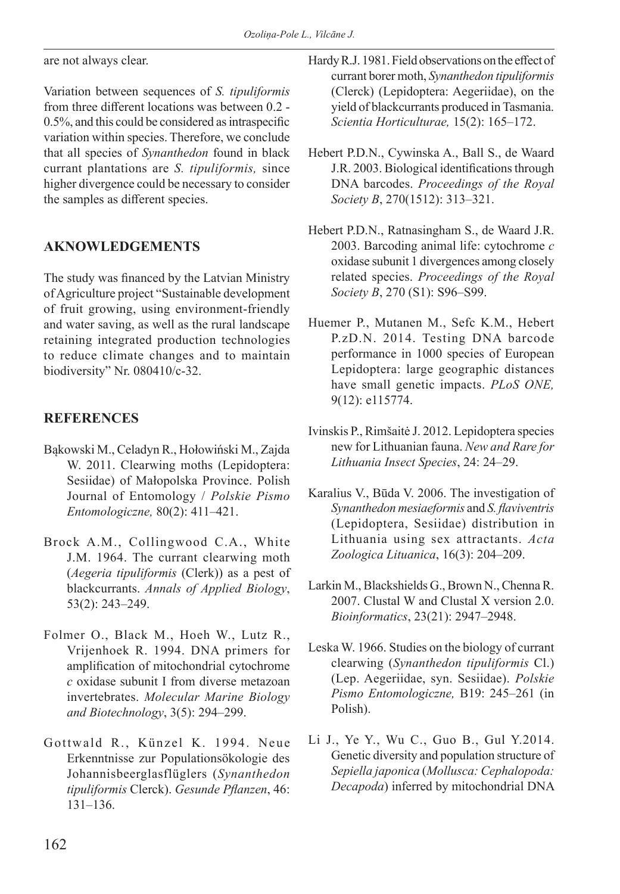are not always clear.

Variation between sequences of *S. tipuliformis* from three different locations was between 0.2 - 0.5%, and this could be considered as intraspecific variation within species. Therefore, we conclude that all species of *Synanthedon* found in black currant plantations are *S. tipuliformis,* since higher divergence could be necessary to consider the samples as different species.

# **AKNOWLEDGEMENTS**

The study was financed by the Latvian Ministry of Agriculture project "Sustainable development of fruit growing, using environment-friendly and water saving, as well as the rural landscape retaining integrated production technologies to reduce climate changes and to maintain biodiversity" Nr. 080410/c-32.

# **REFERENCES**

- Bąkowski M., Celadyn R., Hołowiński M., Zajda W. 2011. Clearwing moths (Lepidoptera: Sesiidae) of Małopolska Province. Polish Journal of Entomology / *Polskie Pismo Entomologiczne,* 80(2): 411–421.
- Brock A.M., Collingwood C.A., White J.M. 1964. The currant clearwing moth (*Aegeria tipuliformis* (Clerk)) as a pest of blackcurrants. *Annals of Applied Biology*, 53(2): 243–249.
- Folmer O., Black M., Hoeh W., Lutz R., Vrijenhoek R. 1994. DNA primers for amplification of mitochondrial cytochrome *c* oxidase subunit I from diverse metazoan invertebrates. *Molecular Marine Biology and Biotechnology*, 3(5): 294–299.
- Gottwald R., Künzel K. 1994. Neue Erkenntnisse zur Populationsökologie des Johannisbeerglasflüglers (*Synanthedon tipuliformis* Clerck). *Gesunde Pflanzen*, 46: 131–136.
- Hardy R.J. 1981. Field observations on the effect of currant borer moth, *Synanthedon tipuliformis*  (Clerck) (Lepidoptera: Aegeriidae), on the yield of blackcurrants produced in Tasmania. *Scientia Horticulturae,* 15(2): 165–172.
- Hebert P.D.N., Cywinska A., Ball S., de Waard J.R. 2003. Biological identifications through DNA barcodes. *Proceedings of the Royal Society B*, 270(1512): 313–321.
- Hebert P.D.N., Ratnasingham S., de Waard J.R. 2003. Barcoding animal life: cytochrome *c* oxidase subunit 1 divergences among closely related species. *Proceedings of the Royal Society B*, 270 (S1): S96–S99.
- Huemer P., Mutanen M., Sefc K.M., Hebert P.zD.N. 2014. Testing DNA barcode performance in 1000 species of European Lepidoptera: large geographic distances have small genetic impacts. *PLoS ONE,*  9(12): e115774.
- Ivinskis P., Rimšaitė J. 2012. Lepidoptera species new for Lithuanian fauna. *New and Rare for Lithuania Insect Species*, 24: 24–29.
- Karalius V., Būda V. 2006. The investigation of *Synanthedon mesiaeformis* and *S. flaviventris* (Lepidoptera, Sesiidae) distribution in Lithuania using sex attractants. *Acta Zoologica Lituanica*, 16(3): 204–209.
- Larkin M., Blackshields G., Brown N., Chenna R. 2007. Clustal W and Clustal X version 2.0. *Bioinformatics*, 23(21): 2947–2948.
- Leska W. 1966. Studies on the biology of currant clearwing (*Synanthedon tipuliformis* Cl.) (Lep. Aegeriidae, syn. Sesiidae). *Polskie Pismo Entomologiczne,* B19: 245–261 (in Polish).
- Li J., Ye Y., Wu C., Guo B., Gul Y.2014. Genetic diversity and population structure of *Sepiella japonica* (*Mollusca: Cephalopoda: Decapoda*) inferred by mitochondrial DNA